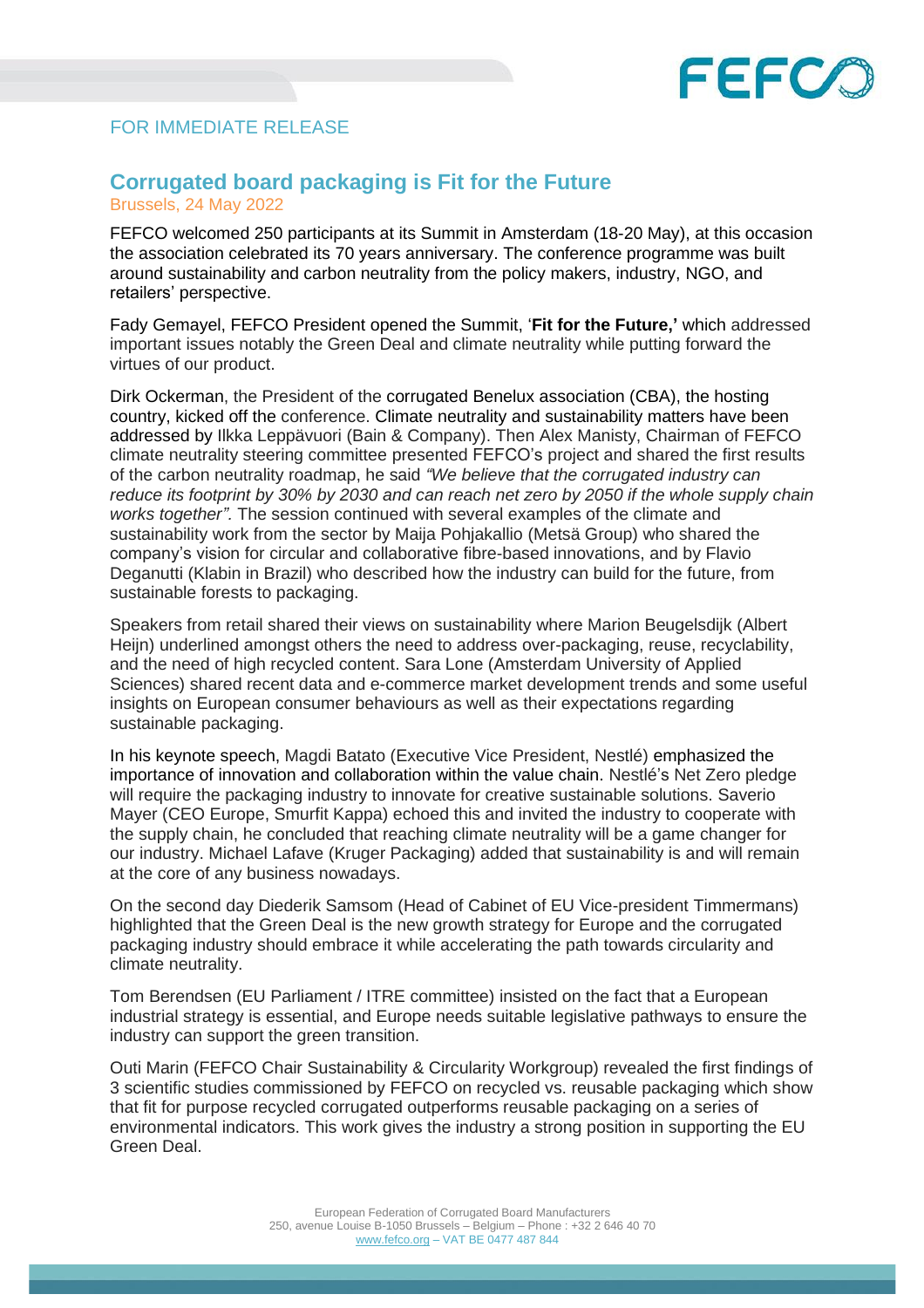

## FOR IMMEDIATE RELEASE

## **Corrugated board packaging is Fit for the Future**

Brussels, 24 May 2022

FEFCO welcomed 250 participants at its Summit in Amsterdam (18-20 May), at this occasion the association celebrated its 70 years anniversary. The conference programme was built around sustainability and carbon neutrality from the policy makers, industry, NGO, and retailers' perspective.

Fady Gemayel, FEFCO President opened the Summit, '**Fit for the Future,'** which addressed important issues notably the Green Deal and climate neutrality while putting forward the virtues of our product.

Dirk Ockerman, the President of the corrugated Benelux association (CBA), the hosting country, kicked off the conference. Climate neutrality and sustainability matters have been addressed by Ilkka Leppävuori (Bain & Company). Then Alex Manisty, Chairman of FEFCO climate neutrality steering committee presented FEFCO's project and shared the first results of the carbon neutrality roadmap, he said *"We believe that the corrugated industry can reduce its footprint by 30% by 2030 and can reach net zero by 2050 if the whole supply chain works together".* The session continued with several examples of the climate and sustainability work from the sector by Maija Pohjakallio (Metsä Group) who shared the company's vision for circular and collaborative fibre-based innovations, and by Flavio Deganutti (Klabin in Brazil) who described how the industry can build for the future, from sustainable forests to packaging.

Speakers from retail shared their views on sustainability where Marion Beugelsdijk (Albert Heijn) underlined amongst others the need to address over-packaging, reuse, recyclability, and the need of high recycled content. Sara Lone (Amsterdam University of Applied Sciences) shared recent data and e-commerce market development trends and some useful insights on European consumer behaviours as well as their expectations regarding sustainable packaging.

In his keynote speech, Magdi Batato (Executive Vice President, Nestlé) emphasized the importance of innovation and collaboration within the value chain. Nestlé's Net Zero pledge will require the packaging industry to innovate for creative sustainable solutions. Saverio Mayer (CEO Europe, Smurfit Kappa) echoed this and invited the industry to cooperate with the supply chain, he concluded that reaching climate neutrality will be a game changer for our industry. Michael Lafave (Kruger Packaging) added that sustainability is and will remain at the core of any business nowadays.

On the second day Diederik Samsom (Head of Cabinet of EU Vice-president Timmermans) highlighted that the Green Deal is the new growth strategy for Europe and the corrugated packaging industry should embrace it while accelerating the path towards circularity and climate neutrality.

Tom Berendsen (EU Parliament / ITRE committee) insisted on the fact that a European industrial strategy is essential, and Europe needs suitable legislative pathways to ensure the industry can support the green transition.

Outi Marin (FEFCO Chair Sustainability & Circularity Workgroup) revealed the first findings of 3 scientific studies commissioned by FEFCO on recycled vs. reusable packaging which show that fit for purpose recycled corrugated outperforms reusable packaging on a series of environmental indicators. This work gives the industry a strong position in supporting the EU Green Deal.